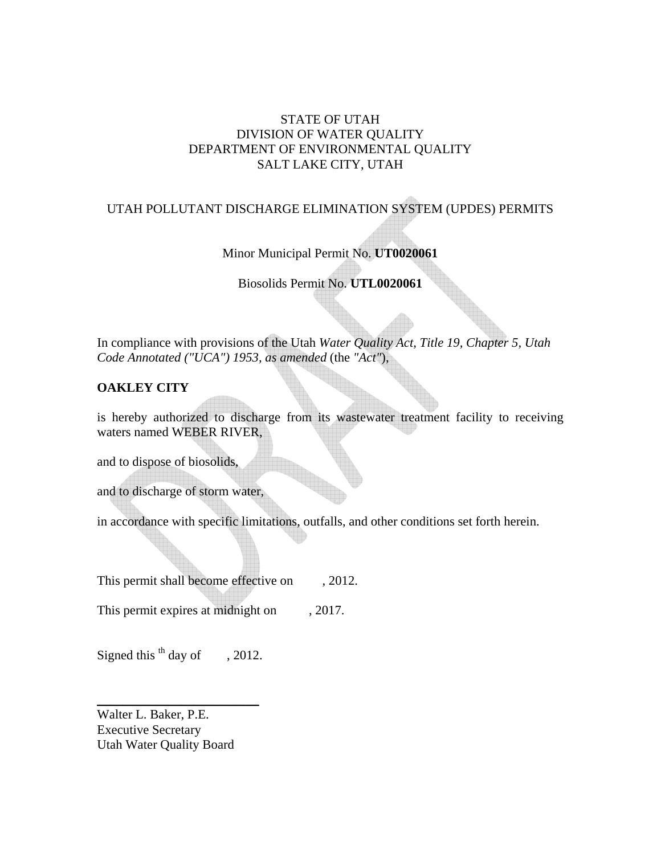# STATE OF UTAH DIVISION OF WATER QUALITY DEPARTMENT OF ENVIRONMENTAL QUALITY SALT LAKE CITY, UTAH

# UTAH POLLUTANT DISCHARGE ELIMINATION SYSTEM (UPDES) PERMITS

Minor Municipal Permit No. **UT0020061** 

Biosolids Permit No. **UTL0020061**

In compliance with provisions of the Utah *Water Quality Act, Title 19, Chapter 5, Utah Code Annotated ("UCA") 1953, as amended* (the *"Act"*),

# **OAKLEY CITY**

is hereby authorized to discharge from its wastewater treatment facility to receiving waters named WEBER RIVER,

and to dispose of biosolids,

and to discharge of storm water,

in accordance with specific limitations, outfalls, and other conditions set forth herein.

This permit shall become effective on , 2012.

This permit expires at midnight on , 2017.

Signed this  $<sup>th</sup>$  day of  $\qquad$ , 2012.</sup>

\_\_\_\_\_\_\_\_\_\_\_\_\_\_\_\_\_\_\_\_\_\_\_\_\_

Walter L. Baker, P.E. Executive Secretary Utah Water Quality Board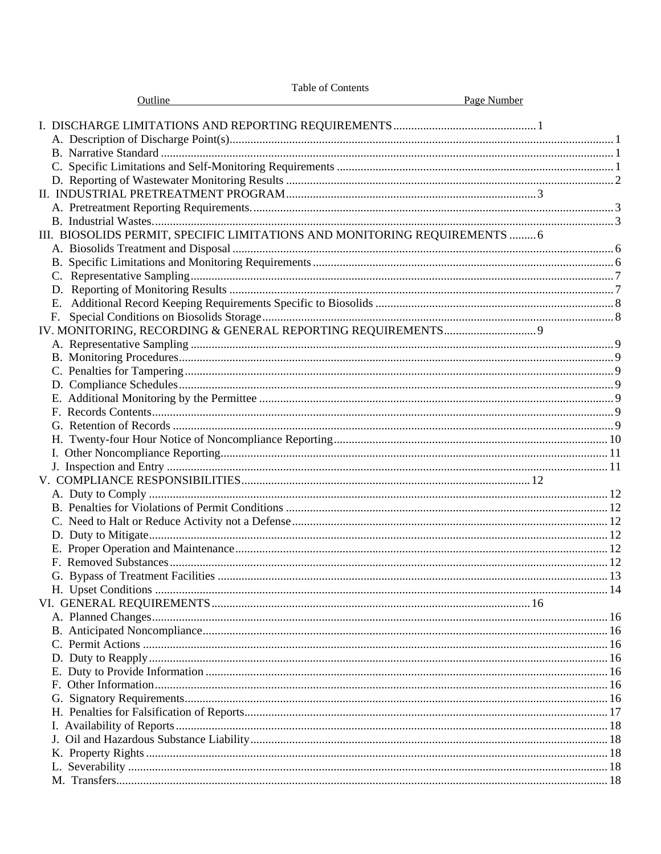| <b>Table of Contents</b>                                                   |  |
|----------------------------------------------------------------------------|--|
| Page Number<br>Outline                                                     |  |
|                                                                            |  |
|                                                                            |  |
|                                                                            |  |
|                                                                            |  |
|                                                                            |  |
|                                                                            |  |
|                                                                            |  |
|                                                                            |  |
| III. BIOSOLIDS PERMIT, SPECIFIC LIMITATIONS AND MONITORING REQUIREMENTS  6 |  |
|                                                                            |  |
|                                                                            |  |
|                                                                            |  |
|                                                                            |  |
|                                                                            |  |
| F.                                                                         |  |
|                                                                            |  |
|                                                                            |  |
|                                                                            |  |
|                                                                            |  |
|                                                                            |  |
|                                                                            |  |
|                                                                            |  |
|                                                                            |  |
|                                                                            |  |
|                                                                            |  |
|                                                                            |  |
|                                                                            |  |
|                                                                            |  |
|                                                                            |  |
|                                                                            |  |
|                                                                            |  |
|                                                                            |  |
|                                                                            |  |
|                                                                            |  |
|                                                                            |  |
|                                                                            |  |
|                                                                            |  |
|                                                                            |  |
|                                                                            |  |
|                                                                            |  |
|                                                                            |  |
|                                                                            |  |
|                                                                            |  |
|                                                                            |  |
|                                                                            |  |
|                                                                            |  |
|                                                                            |  |
|                                                                            |  |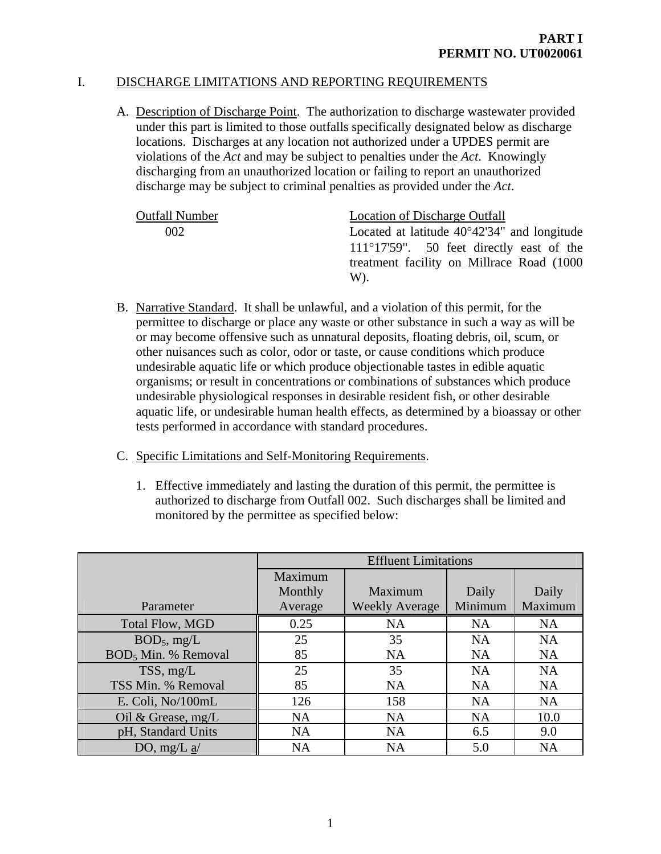# I. DISCHARGE LIMITATIONS AND REPORTING REQUIREMENTS

A. Description of Discharge Point. The authorization to discharge wastewater provided under this part is limited to those outfalls specifically designated below as discharge locations. Discharges at any location not authorized under a UPDES permit are violations of the *Act* and may be subject to penalties under the *Act*. Knowingly discharging from an unauthorized location or failing to report an unauthorized discharge may be subject to criminal penalties as provided under the *Act*.

| <b>Outfall Number</b> | Location of Discharge Outfall                         |
|-----------------------|-------------------------------------------------------|
| 002                   | Located at latitude $40^{\circ}42'34''$ and longitude |
|                       | $111^{\circ}17'59''$ . 50 feet directly east of the   |
|                       | treatment facility on Millrace Road (1000)            |
|                       | W).                                                   |

- B. Narrative Standard. It shall be unlawful, and a violation of this permit, for the permittee to discharge or place any waste or other substance in such a way as will be or may become offensive such as unnatural deposits, floating debris, oil, scum, or other nuisances such as color, odor or taste, or cause conditions which produce undesirable aquatic life or which produce objectionable tastes in edible aquatic organisms; or result in concentrations or combinations of substances which produce undesirable physiological responses in desirable resident fish, or other desirable aquatic life, or undesirable human health effects, as determined by a bioassay or other tests performed in accordance with standard procedures.
- C. Specific Limitations and Self-Monitoring Requirements.
	- 1. Effective immediately and lasting the duration of this permit, the permittee is authorized to discharge from Outfall 002. Such discharges shall be limited and monitored by the permittee as specified below:

|                                 | <b>Effluent Limitations</b> |                       |           |           |
|---------------------------------|-----------------------------|-----------------------|-----------|-----------|
|                                 | Maximum                     |                       |           |           |
|                                 | Monthly                     | Maximum               | Daily     | Daily     |
| Parameter                       | Average                     | <b>Weekly Average</b> | Minimum   | Maximum   |
| <b>Total Flow, MGD</b>          | 0.25                        | <b>NA</b>             | <b>NA</b> | <b>NA</b> |
| $BOD_5$ , mg/L                  | 25                          | 35                    | <b>NA</b> | <b>NA</b> |
| BOD <sub>5</sub> Min. % Removal | 85                          | <b>NA</b>             | <b>NA</b> | <b>NA</b> |
| TSS, mg/L                       | 25                          | 35                    | <b>NA</b> | <b>NA</b> |
| TSS Min. % Removal              | 85                          | <b>NA</b>             | <b>NA</b> | <b>NA</b> |
| E. Coli, No/100mL               | 126                         | 158                   | <b>NA</b> | <b>NA</b> |
| Oil & Grease, $mg/L$            | <b>NA</b>                   | <b>NA</b>             | <b>NA</b> | 10.0      |
| pH, Standard Units              | <b>NA</b>                   | <b>NA</b>             | 6.5       | 9.0       |
| DO, mg/L $a$                    | <b>NA</b>                   | <b>NA</b>             | 5.0       | <b>NA</b> |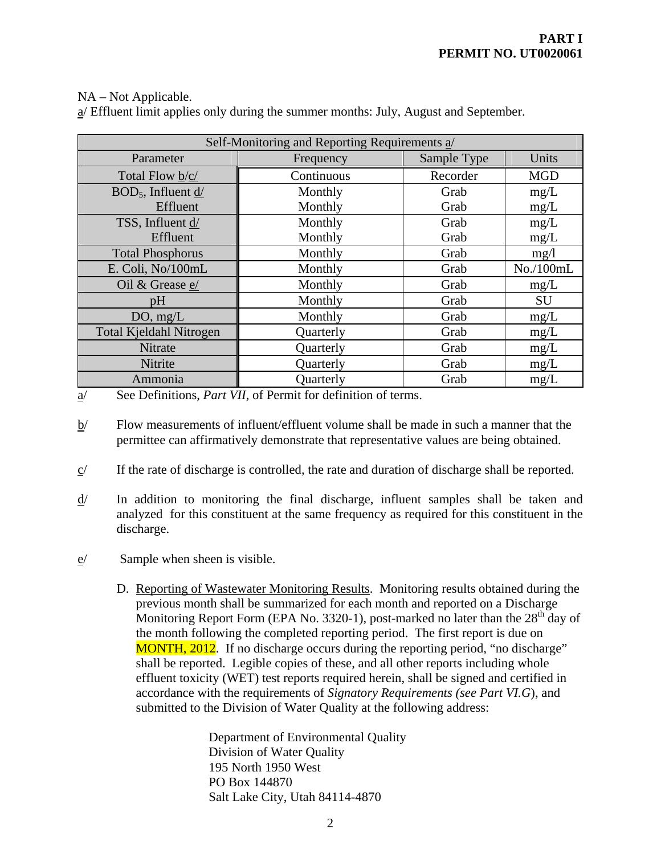# NA – Not Applicable.

| Self-Monitoring and Reporting Requirements a/ |            |             |            |
|-----------------------------------------------|------------|-------------|------------|
| Parameter                                     | Frequency  | Sample Type | Units      |
| Total Flow b/c/                               | Continuous | Recorder    | <b>MGD</b> |
| $BOD5$ , Influent d/                          | Monthly    | Grab        | mg/L       |
| Effluent                                      | Monthly    | Grab        | mg/L       |
| TSS, Influent d/                              | Monthly    | Grab        | mg/L       |
| Effluent                                      | Monthly    | Grab        | mg/L       |
| <b>Total Phosphorus</b>                       | Monthly    | Grab        | mg/1       |
| E. Coli, No/100mL                             | Monthly    | Grab        | No./100mL  |
| Oil & Grease e/                               | Monthly    | Grab        | mg/L       |
| pH                                            | Monthly    | Grab        | SU         |
| DO, mg/L                                      | Monthly    | Grab        | mg/L       |
| <b>Total Kjeldahl Nitrogen</b>                | Quarterly  | Grab        | mg/L       |
| Nitrate                                       | Quarterly  | Grab        | mg/L       |
| Nitrite                                       | Quarterly  | Grab        | mg/L       |
| Ammonia                                       | Quarterly  | Grab        | mg/L       |

a/ Effluent limit applies only during the summer months: July, August and September.

a/ See Definitions, *Part VII*, of Permit for definition of terms.

- b/ Flow measurements of influent/effluent volume shall be made in such a manner that the permittee can affirmatively demonstrate that representative values are being obtained.
- $c$  If the rate of discharge is controlled, the rate and duration of discharge shall be reported.
- d/ In addition to monitoring the final discharge, influent samples shall be taken and analyzed for this constituent at the same frequency as required for this constituent in the discharge.
- e/ Sample when sheen is visible.
	- D. Reporting of Wastewater Monitoring Results. Monitoring results obtained during the previous month shall be summarized for each month and reported on a Discharge Monitoring Report Form (EPA No. 3320-1), post-marked no later than the  $28<sup>th</sup>$  day of the month following the completed reporting period. The first report is due on MONTH, 2012. If no discharge occurs during the reporting period, "no discharge" shall be reported. Legible copies of these, and all other reports including whole effluent toxicity (WET) test reports required herein, shall be signed and certified in accordance with the requirements of *Signatory Requirements (see Part VI.G*), and submitted to the Division of Water Quality at the following address:

Department of Environmental Quality Division of Water Quality 195 North 1950 West PO Box 144870 Salt Lake City, Utah 84114-4870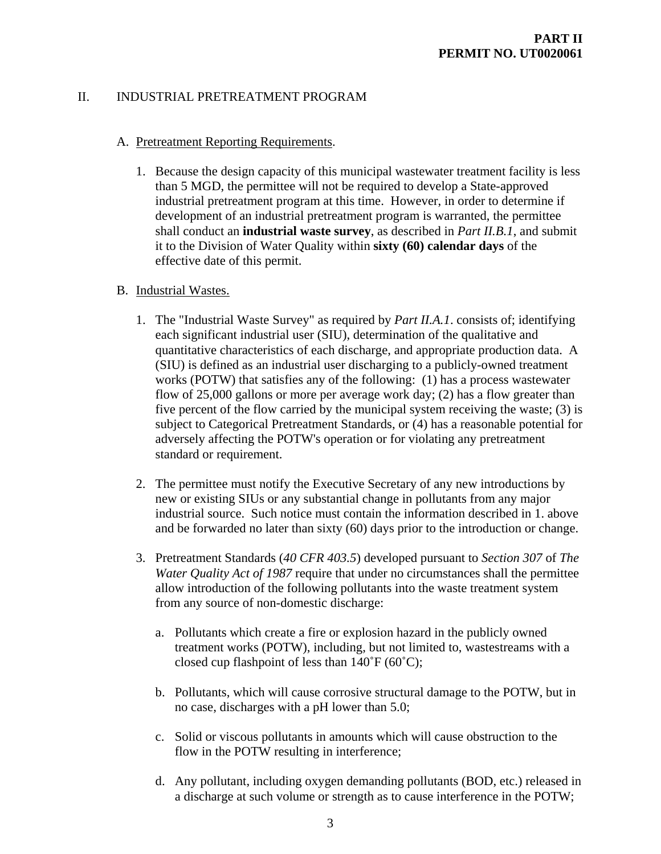# II. INDUSTRIAL PRETREATMENT PROGRAM

### A. Pretreatment Reporting Requirements.

1. Because the design capacity of this municipal wastewater treatment facility is less than 5 MGD, the permittee will not be required to develop a State-approved industrial pretreatment program at this time. However, in order to determine if development of an industrial pretreatment program is warranted, the permittee shall conduct an **industrial waste survey**, as described in *Part II.B.1*, and submit it to the Division of Water Quality within **sixty (60) calendar days** of the effective date of this permit.

# B. Industrial Wastes.

- 1. The "Industrial Waste Survey" as required by *Part II.A.1*. consists of; identifying each significant industrial user (SIU), determination of the qualitative and quantitative characteristics of each discharge, and appropriate production data. A (SIU) is defined as an industrial user discharging to a publicly-owned treatment works (POTW) that satisfies any of the following: (1) has a process wastewater flow of 25,000 gallons or more per average work day; (2) has a flow greater than five percent of the flow carried by the municipal system receiving the waste; (3) is subject to Categorical Pretreatment Standards, or (4) has a reasonable potential for adversely affecting the POTW's operation or for violating any pretreatment standard or requirement.
- 2. The permittee must notify the Executive Secretary of any new introductions by new or existing SIUs or any substantial change in pollutants from any major industrial source. Such notice must contain the information described in 1. above and be forwarded no later than sixty (60) days prior to the introduction or change.
- 3. Pretreatment Standards (*40 CFR 403.5*) developed pursuant to *Section 307* of *The Water Quality Act of 1987* require that under no circumstances shall the permittee allow introduction of the following pollutants into the waste treatment system from any source of non-domestic discharge:
	- a. Pollutants which create a fire or explosion hazard in the publicly owned treatment works (POTW), including, but not limited to, wastestreams with a closed cup flashpoint of less than  $140^{\circ}F(60^{\circ}C)$ ;
	- b. Pollutants, which will cause corrosive structural damage to the POTW, but in no case, discharges with a pH lower than 5.0;
	- c. Solid or viscous pollutants in amounts which will cause obstruction to the flow in the POTW resulting in interference;
	- d. Any pollutant, including oxygen demanding pollutants (BOD, etc.) released in a discharge at such volume or strength as to cause interference in the POTW;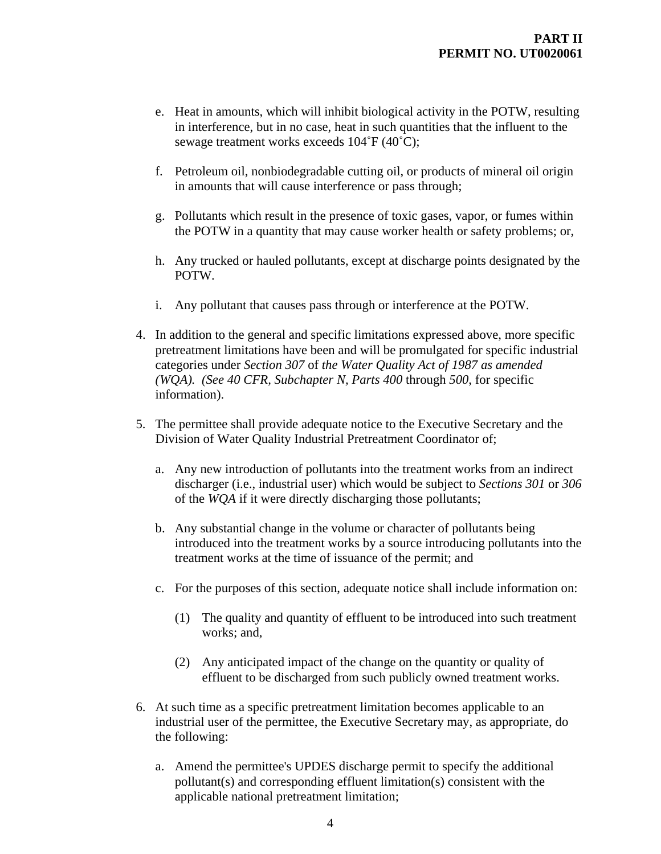- e. Heat in amounts, which will inhibit biological activity in the POTW, resulting in interference, but in no case, heat in such quantities that the influent to the sewage treatment works exceeds 104˚F (40˚C);
- f. Petroleum oil, nonbiodegradable cutting oil, or products of mineral oil origin in amounts that will cause interference or pass through;
- g. Pollutants which result in the presence of toxic gases, vapor, or fumes within the POTW in a quantity that may cause worker health or safety problems; or,
- h. Any trucked or hauled pollutants, except at discharge points designated by the POTW.
- i. Any pollutant that causes pass through or interference at the POTW.
- 4. In addition to the general and specific limitations expressed above, more specific pretreatment limitations have been and will be promulgated for specific industrial categories under *Section 307* of *the Water Quality Act of 1987 as amended (WQA). (See 40 CFR, Subchapter N, Parts 400* through *500*, for specific information).
- 5. The permittee shall provide adequate notice to the Executive Secretary and the Division of Water Quality Industrial Pretreatment Coordinator of;
	- a. Any new introduction of pollutants into the treatment works from an indirect discharger (i.e., industrial user) which would be subject to *Sections 301* or *306* of the *WQA* if it were directly discharging those pollutants;
	- b. Any substantial change in the volume or character of pollutants being introduced into the treatment works by a source introducing pollutants into the treatment works at the time of issuance of the permit; and
	- c. For the purposes of this section, adequate notice shall include information on:
		- (1) The quality and quantity of effluent to be introduced into such treatment works; and,
		- (2) Any anticipated impact of the change on the quantity or quality of effluent to be discharged from such publicly owned treatment works.
- 6. At such time as a specific pretreatment limitation becomes applicable to an industrial user of the permittee, the Executive Secretary may, as appropriate, do the following:
	- a. Amend the permittee's UPDES discharge permit to specify the additional pollutant(s) and corresponding effluent limitation(s) consistent with the applicable national pretreatment limitation;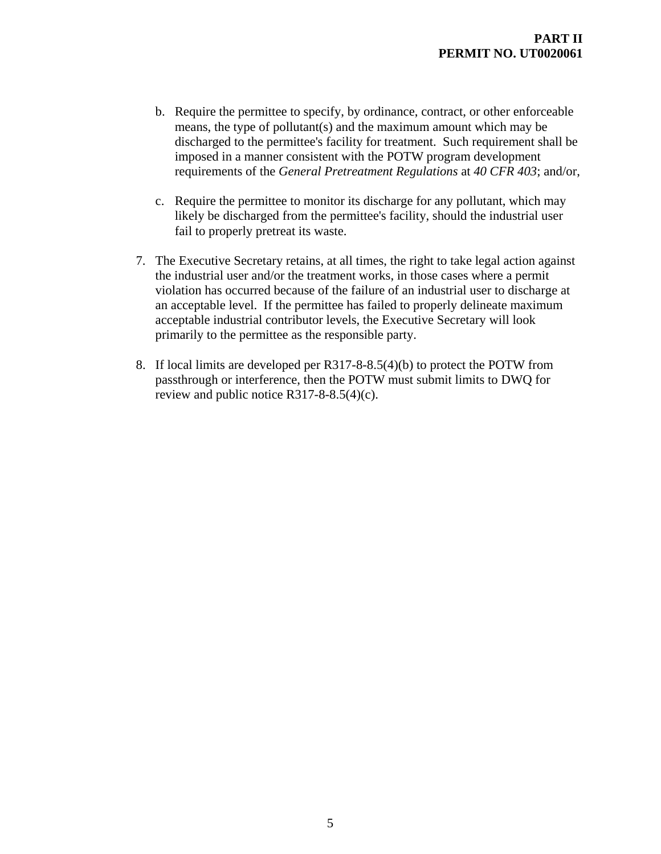- b. Require the permittee to specify, by ordinance, contract, or other enforceable means, the type of pollutant(s) and the maximum amount which may be discharged to the permittee's facility for treatment. Such requirement shall be imposed in a manner consistent with the POTW program development requirements of the *General Pretreatment Regulations* at *40 CFR 403*; and/or,
- c. Require the permittee to monitor its discharge for any pollutant, which may likely be discharged from the permittee's facility, should the industrial user fail to properly pretreat its waste.
- 7. The Executive Secretary retains, at all times, the right to take legal action against the industrial user and/or the treatment works, in those cases where a permit violation has occurred because of the failure of an industrial user to discharge at an acceptable level. If the permittee has failed to properly delineate maximum acceptable industrial contributor levels, the Executive Secretary will look primarily to the permittee as the responsible party.
- 8. If local limits are developed per R317-8-8.5(4)(b) to protect the POTW from passthrough or interference, then the POTW must submit limits to DWQ for review and public notice R317-8-8.5(4)(c).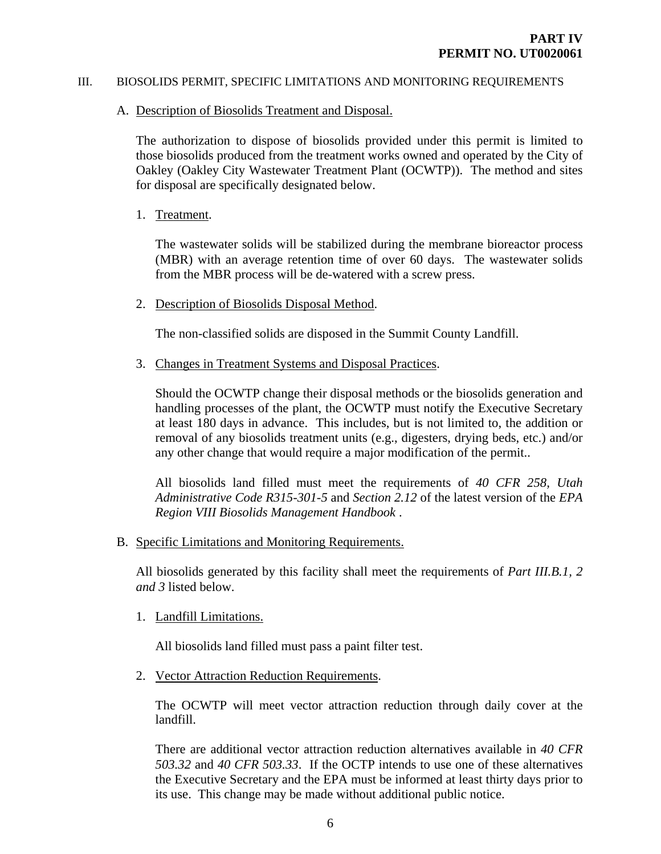#### III. BIOSOLIDS PERMIT, SPECIFIC LIMITATIONS AND MONITORING REQUIREMENTS

#### A. Description of Biosolids Treatment and Disposal.

The authorization to dispose of biosolids provided under this permit is limited to those biosolids produced from the treatment works owned and operated by the City of Oakley (Oakley City Wastewater Treatment Plant (OCWTP)). The method and sites for disposal are specifically designated below.

1. Treatment.

The wastewater solids will be stabilized during the membrane bioreactor process (MBR) with an average retention time of over 60 days. The wastewater solids from the MBR process will be de-watered with a screw press.

2. Description of Biosolids Disposal Method.

The non-classified solids are disposed in the Summit County Landfill.

3. Changes in Treatment Systems and Disposal Practices.

Should the OCWTP change their disposal methods or the biosolids generation and handling processes of the plant, the OCWTP must notify the Executive Secretary at least 180 days in advance. This includes, but is not limited to, the addition or removal of any biosolids treatment units (e.g., digesters, drying beds, etc.) and/or any other change that would require a major modification of the permit..

All biosolids land filled must meet the requirements of *40 CFR 258, Utah Administrative Code R315-301-5* and *Section 2.12* of the latest version of the *EPA Region VIII Biosolids Management Handbook* .

B. Specific Limitations and Monitoring Requirements.

All biosolids generated by this facility shall meet the requirements of *Part III.B.1, 2 and 3* listed below.

1. Landfill Limitations.

All biosolids land filled must pass a paint filter test.

2. Vector Attraction Reduction Requirements.

The OCWTP will meet vector attraction reduction through daily cover at the landfill.

There are additional vector attraction reduction alternatives available in *40 CFR 503.32* and *40 CFR 503.33*. If the OCTP intends to use one of these alternatives the Executive Secretary and the EPA must be informed at least thirty days prior to its use. This change may be made without additional public notice.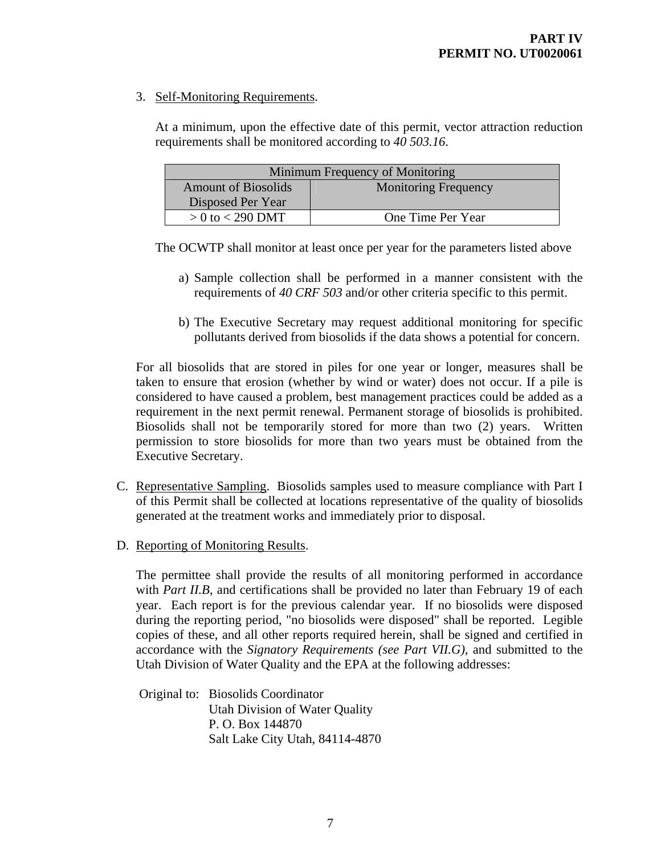# 3. Self-Monitoring Requirements.

At a minimum, upon the effective date of this permit, vector attraction reduction requirements shall be monitored according to *40 503.16*.

| Minimum Frequency of Monitoring |                             |  |
|---------------------------------|-----------------------------|--|
| <b>Amount of Biosolids</b>      | <b>Monitoring Frequency</b> |  |
| Disposed Per Year               |                             |  |
| $> 0$ to $<$ 290 DMT            | One Time Per Year           |  |

The OCWTP shall monitor at least once per year for the parameters listed above

- a) Sample collection shall be performed in a manner consistent with the requirements of *40 CRF 503* and/or other criteria specific to this permit.
- b) The Executive Secretary may request additional monitoring for specific pollutants derived from biosolids if the data shows a potential for concern.

For all biosolids that are stored in piles for one year or longer, measures shall be taken to ensure that erosion (whether by wind or water) does not occur. If a pile is considered to have caused a problem, best management practices could be added as a requirement in the next permit renewal. Permanent storage of biosolids is prohibited. Biosolids shall not be temporarily stored for more than two (2) years. Written permission to store biosolids for more than two years must be obtained from the Executive Secretary.

- C. Representative Sampling. Biosolids samples used to measure compliance with Part I of this Permit shall be collected at locations representative of the quality of biosolids generated at the treatment works and immediately prior to disposal.
- D. Reporting of Monitoring Results.

 The permittee shall provide the results of all monitoring performed in accordance with *Part II.B*, and certifications shall be provided no later than February 19 of each year. Each report is for the previous calendar year. If no biosolids were disposed during the reporting period, "no biosolids were disposed" shall be reported. Legible copies of these, and all other reports required herein, shall be signed and certified in accordance with the *Signatory Requirements (see Part VII.G)*, and submitted to the Utah Division of Water Quality and the EPA at the following addresses:

 Original to: Biosolids Coordinator Utah Division of Water Quality P. O. Box 144870 Salt Lake City Utah, 84114-4870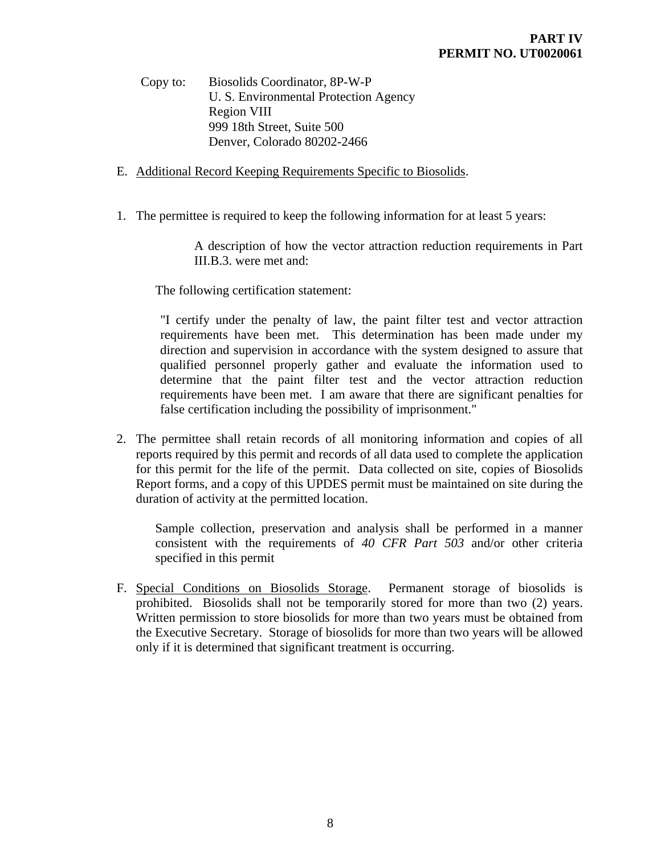Copy to: Biosolids Coordinator, 8P-W-P U. S. Environmental Protection Agency Region VIII 999 18th Street, Suite 500 Denver, Colorado 80202-2466

- E. Additional Record Keeping Requirements Specific to Biosolids.
- 1. The permittee is required to keep the following information for at least 5 years:

 A description of how the vector attraction reduction requirements in Part III.B.3. were met and:

The following certification statement:

"I certify under the penalty of law, the paint filter test and vector attraction requirements have been met. This determination has been made under my direction and supervision in accordance with the system designed to assure that qualified personnel properly gather and evaluate the information used to determine that the paint filter test and the vector attraction reduction requirements have been met. I am aware that there are significant penalties for false certification including the possibility of imprisonment."

2. The permittee shall retain records of all monitoring information and copies of all reports required by this permit and records of all data used to complete the application for this permit for the life of the permit. Data collected on site, copies of Biosolids Report forms, and a copy of this UPDES permit must be maintained on site during the duration of activity at the permitted location.

Sample collection, preservation and analysis shall be performed in a manner consistent with the requirements of *40 CFR Part 503* and/or other criteria specified in this permit

F. Special Conditions on Biosolids Storage. Permanent storage of biosolids is prohibited. Biosolids shall not be temporarily stored for more than two (2) years. Written permission to store biosolids for more than two years must be obtained from the Executive Secretary. Storage of biosolids for more than two years will be allowed only if it is determined that significant treatment is occurring.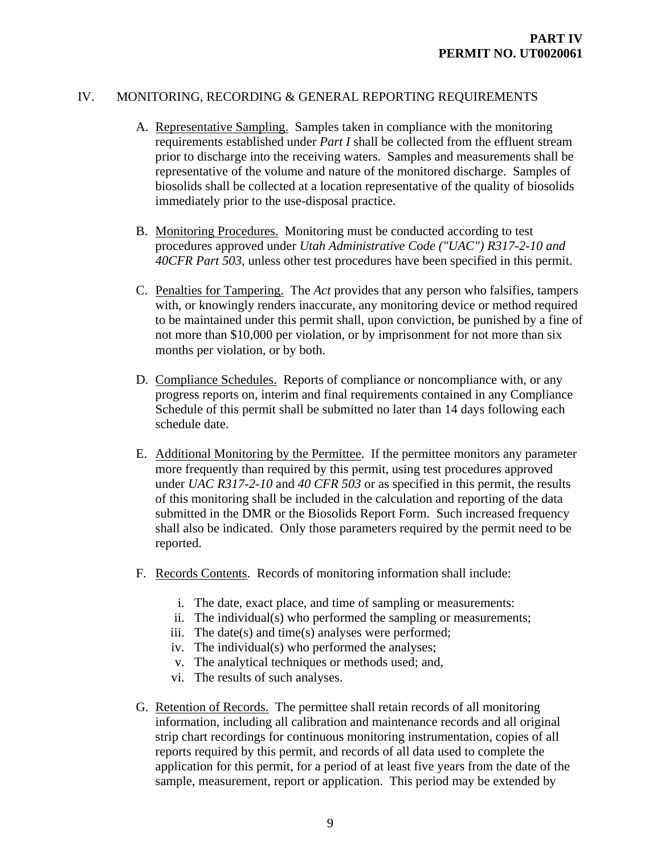# IV. MONITORING, RECORDING & GENERAL REPORTING REQUIREMENTS

- A. Representative Sampling. Samples taken in compliance with the monitoring requirements established under *Part I* shall be collected from the effluent stream prior to discharge into the receiving waters. Samples and measurements shall be representative of the volume and nature of the monitored discharge. Samples of biosolids shall be collected at a location representative of the quality of biosolids immediately prior to the use-disposal practice.
- B. Monitoring Procedures. Monitoring must be conducted according to test procedures approved under *Utah Administrative Code ("UAC") R317-2-10 and 40CFR Part 503*, unless other test procedures have been specified in this permit.
- C. Penalties for Tampering. The *Act* provides that any person who falsifies, tampers with, or knowingly renders inaccurate, any monitoring device or method required to be maintained under this permit shall, upon conviction, be punished by a fine of not more than \$10,000 per violation, or by imprisonment for not more than six months per violation, or by both.
- D. Compliance Schedules. Reports of compliance or noncompliance with, or any progress reports on, interim and final requirements contained in any Compliance Schedule of this permit shall be submitted no later than 14 days following each schedule date.
- E. Additional Monitoring by the Permittee. If the permittee monitors any parameter more frequently than required by this permit, using test procedures approved under *UAC R317-2-10* and *40 CFR 503* or as specified in this permit, the results of this monitoring shall be included in the calculation and reporting of the data submitted in the DMR or the Biosolids Report Form. Such increased frequency shall also be indicated. Only those parameters required by the permit need to be reported.
- F. Records Contents. Records of monitoring information shall include:
	- i. The date, exact place, and time of sampling or measurements:
	- ii. The individual(s) who performed the sampling or measurements;
	- iii. The date(s) and time(s) analyses were performed;
	- iv. The individual(s) who performed the analyses;
	- v. The analytical techniques or methods used; and,
	- vi. The results of such analyses.
- G. Retention of Records. The permittee shall retain records of all monitoring information, including all calibration and maintenance records and all original strip chart recordings for continuous monitoring instrumentation, copies of all reports required by this permit, and records of all data used to complete the application for this permit, for a period of at least five years from the date of the sample, measurement, report or application. This period may be extended by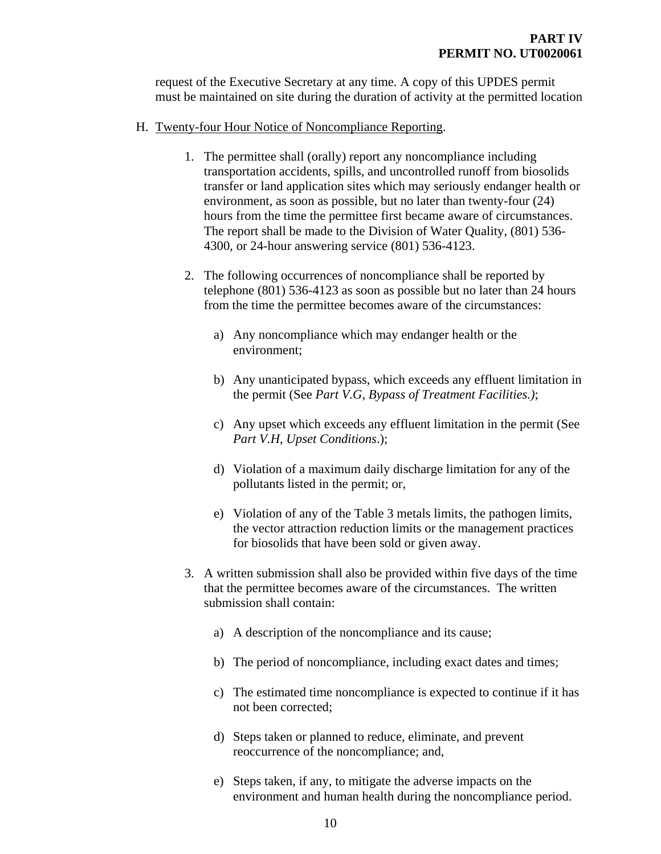request of the Executive Secretary at any time. A copy of this UPDES permit must be maintained on site during the duration of activity at the permitted location

### H. Twenty-four Hour Notice of Noncompliance Reporting.

- 1. The permittee shall (orally) report any noncompliance including transportation accidents, spills, and uncontrolled runoff from biosolids transfer or land application sites which may seriously endanger health or environment, as soon as possible, but no later than twenty-four (24) hours from the time the permittee first became aware of circumstances. The report shall be made to the Division of Water Quality, (801) 536- 4300, or 24-hour answering service (801) 536-4123.
- 2. The following occurrences of noncompliance shall be reported by telephone (801) 536-4123 as soon as possible but no later than 24 hours from the time the permittee becomes aware of the circumstances:
	- a) Any noncompliance which may endanger health or the environment;
	- b) Any unanticipated bypass, which exceeds any effluent limitation in the permit (See *Part V.G, Bypass of Treatment Facilities.)*;
	- c) Any upset which exceeds any effluent limitation in the permit (See *Part V.H*, *Upset Conditions*.);
	- d) Violation of a maximum daily discharge limitation for any of the pollutants listed in the permit; or,
	- e) Violation of any of the Table 3 metals limits, the pathogen limits, the vector attraction reduction limits or the management practices for biosolids that have been sold or given away.
- 3. A written submission shall also be provided within five days of the time that the permittee becomes aware of the circumstances. The written submission shall contain:
	- a) A description of the noncompliance and its cause;
	- b) The period of noncompliance, including exact dates and times;
	- c) The estimated time noncompliance is expected to continue if it has not been corrected;
	- d) Steps taken or planned to reduce, eliminate, and prevent reoccurrence of the noncompliance; and,
	- e) Steps taken, if any, to mitigate the adverse impacts on the environment and human health during the noncompliance period.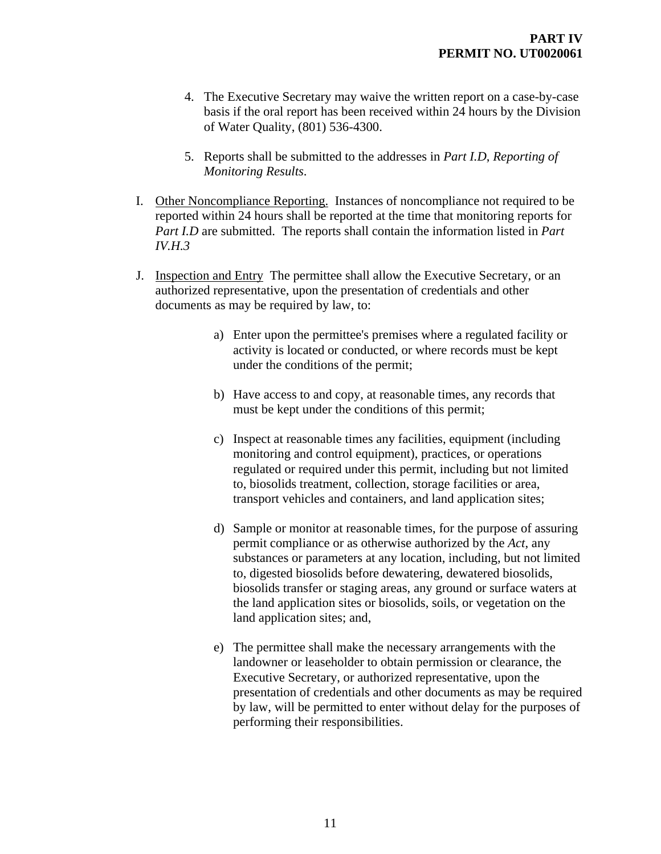- 4. The Executive Secretary may waive the written report on a case-by-case basis if the oral report has been received within 24 hours by the Division of Water Quality, (801) 536-4300.
- 5. Reports shall be submitted to the addresses in *Part I.D*, *Reporting of Monitoring Results*.
- I. Other Noncompliance Reporting. Instances of noncompliance not required to be reported within 24 hours shall be reported at the time that monitoring reports for *Part I.D* are submitted. The reports shall contain the information listed in *Part IV.H.3*
- J. Inspection and Entry The permittee shall allow the Executive Secretary, or an authorized representative, upon the presentation of credentials and other documents as may be required by law, to:
	- a) Enter upon the permittee's premises where a regulated facility or activity is located or conducted, or where records must be kept under the conditions of the permit;
	- b) Have access to and copy, at reasonable times, any records that must be kept under the conditions of this permit;
	- c) Inspect at reasonable times any facilities, equipment (including monitoring and control equipment), practices, or operations regulated or required under this permit, including but not limited to, biosolids treatment, collection, storage facilities or area, transport vehicles and containers, and land application sites;
	- d) Sample or monitor at reasonable times, for the purpose of assuring permit compliance or as otherwise authorized by the *Act*, any substances or parameters at any location, including, but not limited to, digested biosolids before dewatering, dewatered biosolids, biosolids transfer or staging areas, any ground or surface waters at the land application sites or biosolids, soils, or vegetation on the land application sites; and,
	- e) The permittee shall make the necessary arrangements with the landowner or leaseholder to obtain permission or clearance, the Executive Secretary, or authorized representative, upon the presentation of credentials and other documents as may be required by law, will be permitted to enter without delay for the purposes of performing their responsibilities.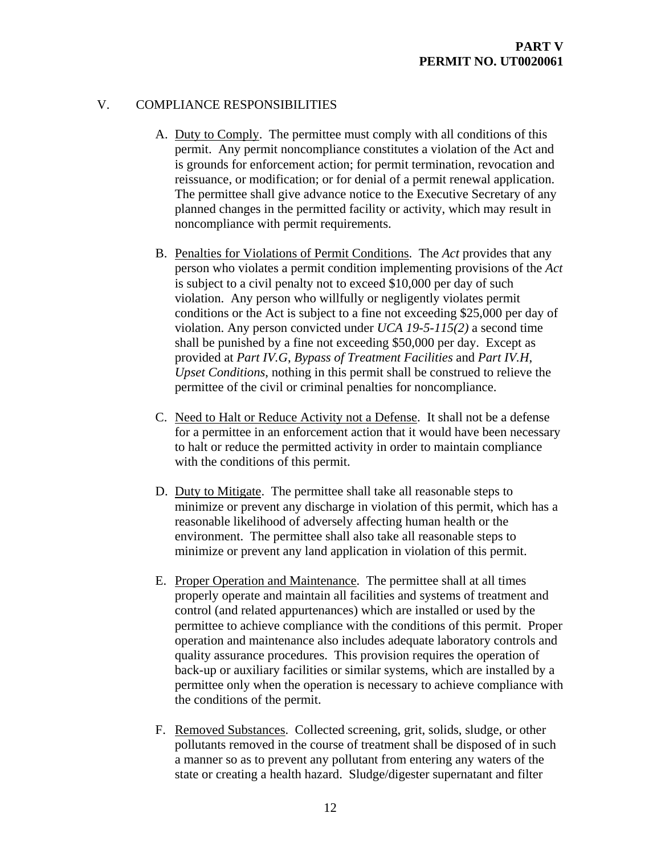### V. COMPLIANCE RESPONSIBILITIES

- A. Duty to Comply. The permittee must comply with all conditions of this permit. Any permit noncompliance constitutes a violation of the Act and is grounds for enforcement action; for permit termination, revocation and reissuance, or modification; or for denial of a permit renewal application. The permittee shall give advance notice to the Executive Secretary of any planned changes in the permitted facility or activity, which may result in noncompliance with permit requirements.
- B. Penalties for Violations of Permit Conditions. The *Act* provides that any person who violates a permit condition implementing provisions of the *Act* is subject to a civil penalty not to exceed \$10,000 per day of such violation. Any person who willfully or negligently violates permit conditions or the Act is subject to a fine not exceeding \$25,000 per day of violation. Any person convicted under *UCA 19-5-115(2)* a second time shall be punished by a fine not exceeding \$50,000 per day. Except as provided at *Part IV.G*, *Bypass of Treatment Facilities* and *Part IV.H*, *Upset Conditions*, nothing in this permit shall be construed to relieve the permittee of the civil or criminal penalties for noncompliance.
- C. Need to Halt or Reduce Activity not a Defense. It shall not be a defense for a permittee in an enforcement action that it would have been necessary to halt or reduce the permitted activity in order to maintain compliance with the conditions of this permit.
- D. Duty to Mitigate. The permittee shall take all reasonable steps to minimize or prevent any discharge in violation of this permit, which has a reasonable likelihood of adversely affecting human health or the environment. The permittee shall also take all reasonable steps to minimize or prevent any land application in violation of this permit.
- E. Proper Operation and Maintenance. The permittee shall at all times properly operate and maintain all facilities and systems of treatment and control (and related appurtenances) which are installed or used by the permittee to achieve compliance with the conditions of this permit. Proper operation and maintenance also includes adequate laboratory controls and quality assurance procedures. This provision requires the operation of back-up or auxiliary facilities or similar systems, which are installed by a permittee only when the operation is necessary to achieve compliance with the conditions of the permit.
- F. Removed Substances. Collected screening, grit, solids, sludge, or other pollutants removed in the course of treatment shall be disposed of in such a manner so as to prevent any pollutant from entering any waters of the state or creating a health hazard. Sludge/digester supernatant and filter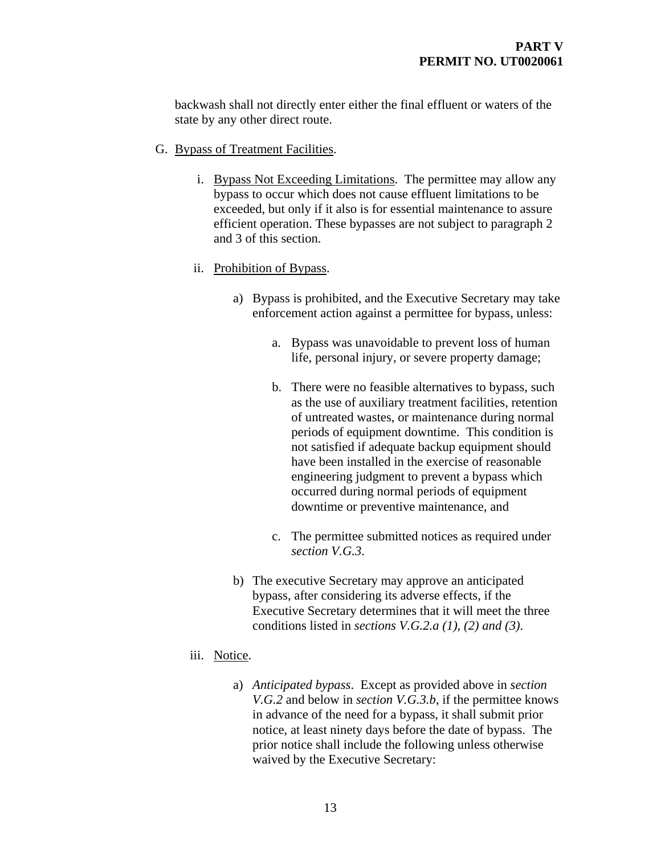backwash shall not directly enter either the final effluent or waters of the state by any other direct route.

- G. Bypass of Treatment Facilities.
	- i. Bypass Not Exceeding Limitations. The permittee may allow any bypass to occur which does not cause effluent limitations to be exceeded, but only if it also is for essential maintenance to assure efficient operation. These bypasses are not subject to paragraph 2 and 3 of this section.
	- ii. Prohibition of Bypass.
		- a) Bypass is prohibited, and the Executive Secretary may take enforcement action against a permittee for bypass, unless:
			- a. Bypass was unavoidable to prevent loss of human life, personal injury, or severe property damage;
			- b. There were no feasible alternatives to bypass, such as the use of auxiliary treatment facilities, retention of untreated wastes, or maintenance during normal periods of equipment downtime. This condition is not satisfied if adequate backup equipment should have been installed in the exercise of reasonable engineering judgment to prevent a bypass which occurred during normal periods of equipment downtime or preventive maintenance, and
			- c. The permittee submitted notices as required under *section V.G.3*.
		- b) The executive Secretary may approve an anticipated bypass, after considering its adverse effects, if the Executive Secretary determines that it will meet the three conditions listed in *sections V.G.2.a (1), (2) and (3)*.
	- iii. Notice.
		- a) *Anticipated bypass*. Except as provided above in *section V.G.2* and below in *section V.G.3.b*, if the permittee knows in advance of the need for a bypass, it shall submit prior notice, at least ninety days before the date of bypass. The prior notice shall include the following unless otherwise waived by the Executive Secretary: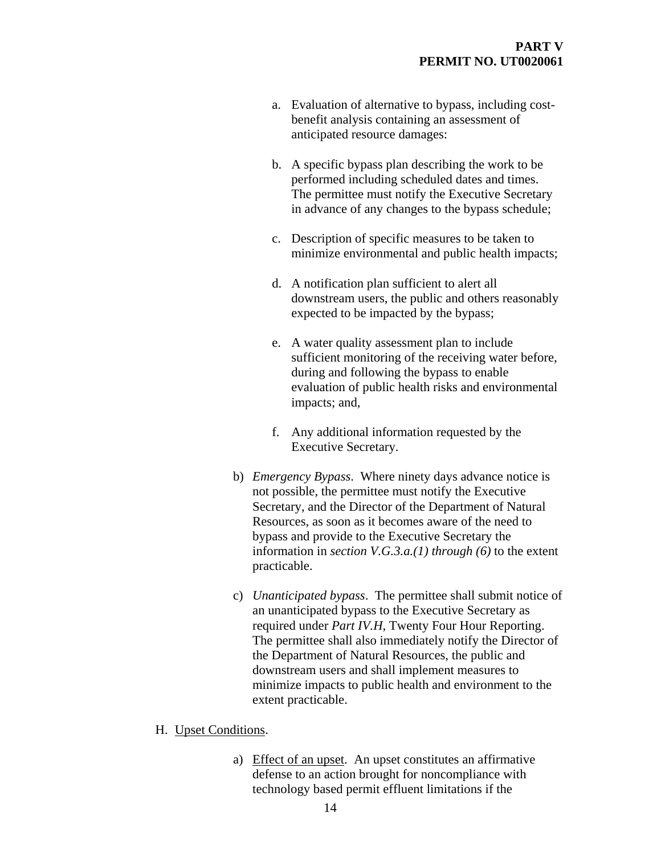- a. Evaluation of alternative to bypass, including costbenefit analysis containing an assessment of anticipated resource damages:
- b. A specific bypass plan describing the work to be performed including scheduled dates and times. The permittee must notify the Executive Secretary in advance of any changes to the bypass schedule;
- c. Description of specific measures to be taken to minimize environmental and public health impacts;
- d. A notification plan sufficient to alert all downstream users, the public and others reasonably expected to be impacted by the bypass;
- e. A water quality assessment plan to include sufficient monitoring of the receiving water before, during and following the bypass to enable evaluation of public health risks and environmental impacts; and,
- f. Any additional information requested by the Executive Secretary.
- b) *Emergency Bypass*. Where ninety days advance notice is not possible, the permittee must notify the Executive Secretary, and the Director of the Department of Natural Resources, as soon as it becomes aware of the need to bypass and provide to the Executive Secretary the information in *section V.G.3.a.(1) through (6)* to the extent practicable.
- c) *Unanticipated bypass*. The permittee shall submit notice of an unanticipated bypass to the Executive Secretary as required under *Part IV.H*, Twenty Four Hour Reporting. The permittee shall also immediately notify the Director of the Department of Natural Resources, the public and downstream users and shall implement measures to minimize impacts to public health and environment to the extent practicable.
- H. Upset Conditions.
	- a) Effect of an upset. An upset constitutes an affirmative defense to an action brought for noncompliance with technology based permit effluent limitations if the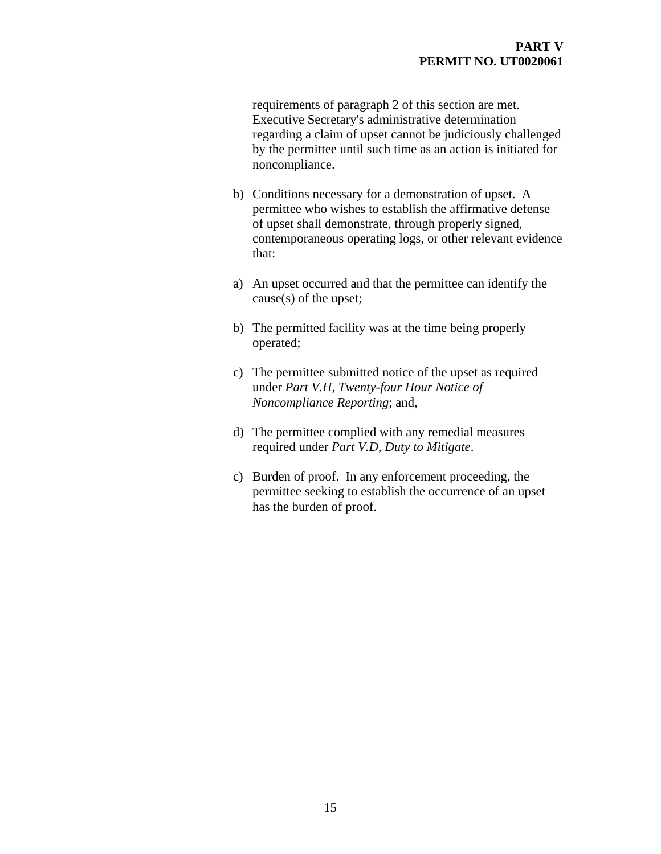requirements of paragraph 2 of this section are met. Executive Secretary's administrative determination regarding a claim of upset cannot be judiciously challenged by the permittee until such time as an action is initiated for noncompliance.

- b) Conditions necessary for a demonstration of upset. A permittee who wishes to establish the affirmative defense of upset shall demonstrate, through properly signed, contemporaneous operating logs, or other relevant evidence that:
- a) An upset occurred and that the permittee can identify the cause(s) of the upset;
- b) The permitted facility was at the time being properly operated;
- c) The permittee submitted notice of the upset as required under *Part V.H*, *Twenty-four Hour Notice of Noncompliance Reporting*; and,
- d) The permittee complied with any remedial measures required under *Part V.D*, *Duty to Mitigate*.
- c) Burden of proof. In any enforcement proceeding, the permittee seeking to establish the occurrence of an upset has the burden of proof.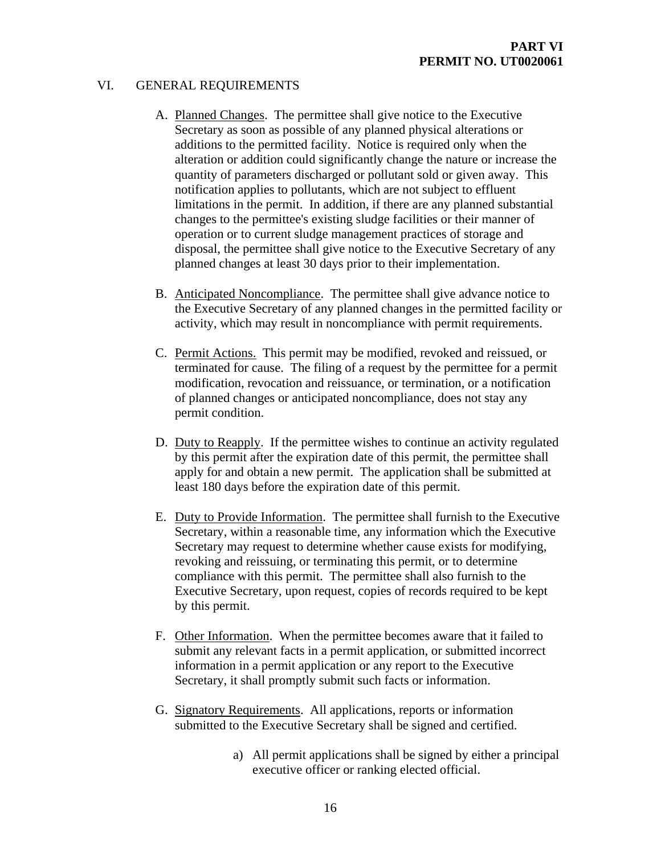### VI. GENERAL REQUIREMENTS

- A. Planned Changes. The permittee shall give notice to the Executive Secretary as soon as possible of any planned physical alterations or additions to the permitted facility. Notice is required only when the alteration or addition could significantly change the nature or increase the quantity of parameters discharged or pollutant sold or given away. This notification applies to pollutants, which are not subject to effluent limitations in the permit. In addition, if there are any planned substantial changes to the permittee's existing sludge facilities or their manner of operation or to current sludge management practices of storage and disposal, the permittee shall give notice to the Executive Secretary of any planned changes at least 30 days prior to their implementation.
- B. Anticipated Noncompliance. The permittee shall give advance notice to the Executive Secretary of any planned changes in the permitted facility or activity, which may result in noncompliance with permit requirements.
- C. Permit Actions. This permit may be modified, revoked and reissued, or terminated for cause. The filing of a request by the permittee for a permit modification, revocation and reissuance, or termination, or a notification of planned changes or anticipated noncompliance, does not stay any permit condition.
- D. Duty to Reapply. If the permittee wishes to continue an activity regulated by this permit after the expiration date of this permit, the permittee shall apply for and obtain a new permit. The application shall be submitted at least 180 days before the expiration date of this permit.
- E. Duty to Provide Information. The permittee shall furnish to the Executive Secretary, within a reasonable time, any information which the Executive Secretary may request to determine whether cause exists for modifying, revoking and reissuing, or terminating this permit, or to determine compliance with this permit. The permittee shall also furnish to the Executive Secretary, upon request, copies of records required to be kept by this permit.
- F. Other Information. When the permittee becomes aware that it failed to submit any relevant facts in a permit application, or submitted incorrect information in a permit application or any report to the Executive Secretary, it shall promptly submit such facts or information.
- G. Signatory Requirements. All applications, reports or information submitted to the Executive Secretary shall be signed and certified.
	- a) All permit applications shall be signed by either a principal executive officer or ranking elected official.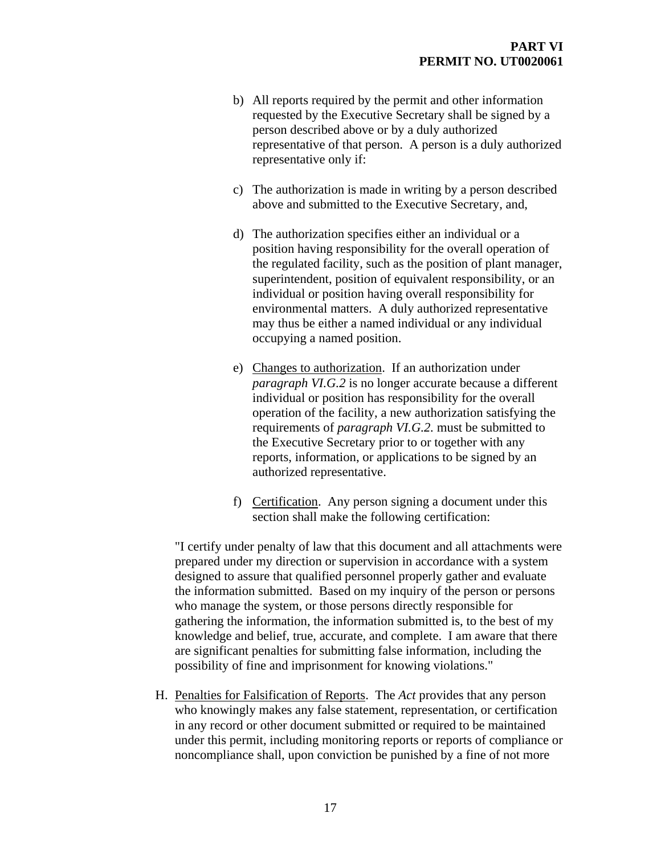- b) All reports required by the permit and other information requested by the Executive Secretary shall be signed by a person described above or by a duly authorized representative of that person. A person is a duly authorized representative only if:
- c) The authorization is made in writing by a person described above and submitted to the Executive Secretary, and,
- d) The authorization specifies either an individual or a position having responsibility for the overall operation of the regulated facility, such as the position of plant manager, superintendent, position of equivalent responsibility, or an individual or position having overall responsibility for environmental matters. A duly authorized representative may thus be either a named individual or any individual occupying a named position.
- e) Changes to authorization. If an authorization under *paragraph VI.G.2* is no longer accurate because a different individual or position has responsibility for the overall operation of the facility, a new authorization satisfying the requirements of *paragraph VI.G.2.* must be submitted to the Executive Secretary prior to or together with any reports, information, or applications to be signed by an authorized representative.
- f) Certification. Any person signing a document under this section shall make the following certification:

"I certify under penalty of law that this document and all attachments were prepared under my direction or supervision in accordance with a system designed to assure that qualified personnel properly gather and evaluate the information submitted. Based on my inquiry of the person or persons who manage the system, or those persons directly responsible for gathering the information, the information submitted is, to the best of my knowledge and belief, true, accurate, and complete. I am aware that there are significant penalties for submitting false information, including the possibility of fine and imprisonment for knowing violations."

H. Penalties for Falsification of Reports. The *Act* provides that any person who knowingly makes any false statement, representation, or certification in any record or other document submitted or required to be maintained under this permit, including monitoring reports or reports of compliance or noncompliance shall, upon conviction be punished by a fine of not more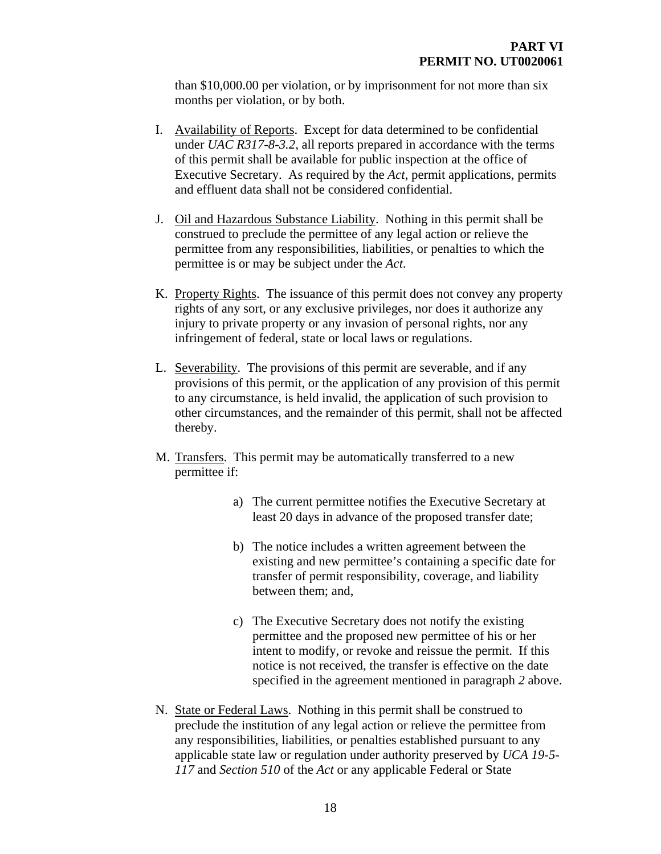than \$10,000.00 per violation, or by imprisonment for not more than six months per violation, or by both.

- I. Availability of Reports. Except for data determined to be confidential under *UAC R317-8-3.2*, all reports prepared in accordance with the terms of this permit shall be available for public inspection at the office of Executive Secretary. As required by the *Act*, permit applications, permits and effluent data shall not be considered confidential.
- J. Oil and Hazardous Substance Liability. Nothing in this permit shall be construed to preclude the permittee of any legal action or relieve the permittee from any responsibilities, liabilities, or penalties to which the permittee is or may be subject under the *Act*.
- K. Property Rights. The issuance of this permit does not convey any property rights of any sort, or any exclusive privileges, nor does it authorize any injury to private property or any invasion of personal rights, nor any infringement of federal, state or local laws or regulations.
- L. Severability. The provisions of this permit are severable, and if any provisions of this permit, or the application of any provision of this permit to any circumstance, is held invalid, the application of such provision to other circumstances, and the remainder of this permit, shall not be affected thereby.
- M. Transfers. This permit may be automatically transferred to a new permittee if:
	- a) The current permittee notifies the Executive Secretary at least 20 days in advance of the proposed transfer date;
	- b) The notice includes a written agreement between the existing and new permittee's containing a specific date for transfer of permit responsibility, coverage, and liability between them; and,
	- c) The Executive Secretary does not notify the existing permittee and the proposed new permittee of his or her intent to modify, or revoke and reissue the permit. If this notice is not received, the transfer is effective on the date specified in the agreement mentioned in paragraph *2* above.
- N. State or Federal Laws. Nothing in this permit shall be construed to preclude the institution of any legal action or relieve the permittee from any responsibilities, liabilities, or penalties established pursuant to any applicable state law or regulation under authority preserved by *UCA 19-5- 117* and *Section 510* of the *Act* or any applicable Federal or State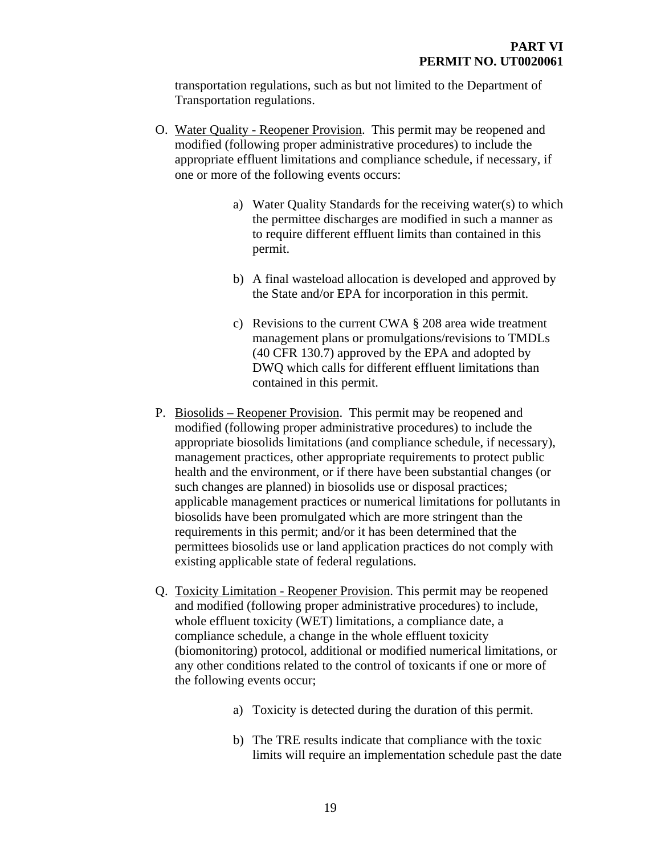transportation regulations, such as but not limited to the Department of Transportation regulations.

- O. Water Quality Reopener Provision. This permit may be reopened and modified (following proper administrative procedures) to include the appropriate effluent limitations and compliance schedule, if necessary, if one or more of the following events occurs:
	- a) Water Quality Standards for the receiving water(s) to which the permittee discharges are modified in such a manner as to require different effluent limits than contained in this permit.
	- b) A final wasteload allocation is developed and approved by the State and/or EPA for incorporation in this permit.
	- c) Revisions to the current CWA § 208 area wide treatment management plans or promulgations/revisions to TMDLs (40 CFR 130.7) approved by the EPA and adopted by DWQ which calls for different effluent limitations than contained in this permit.
- P. Biosolids Reopener Provision. This permit may be reopened and modified (following proper administrative procedures) to include the appropriate biosolids limitations (and compliance schedule, if necessary), management practices, other appropriate requirements to protect public health and the environment, or if there have been substantial changes (or such changes are planned) in biosolids use or disposal practices; applicable management practices or numerical limitations for pollutants in biosolids have been promulgated which are more stringent than the requirements in this permit; and/or it has been determined that the permittees biosolids use or land application practices do not comply with existing applicable state of federal regulations.
- Q. Toxicity Limitation Reopener Provision. This permit may be reopened and modified (following proper administrative procedures) to include, whole effluent toxicity (WET) limitations, a compliance date, a compliance schedule, a change in the whole effluent toxicity (biomonitoring) protocol, additional or modified numerical limitations, or any other conditions related to the control of toxicants if one or more of the following events occur;
	- a) Toxicity is detected during the duration of this permit.
	- b) The TRE results indicate that compliance with the toxic limits will require an implementation schedule past the date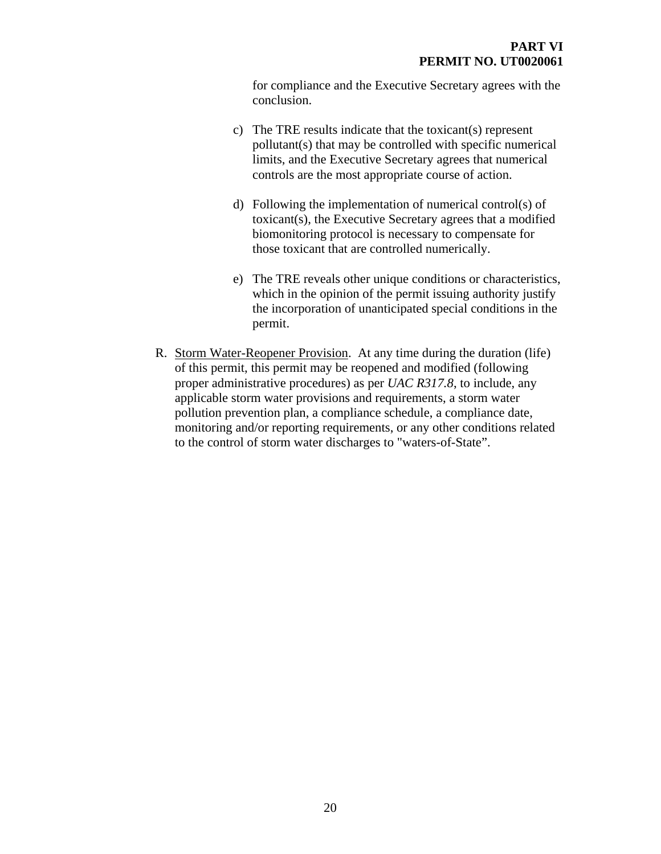for compliance and the Executive Secretary agrees with the conclusion.

- c) The TRE results indicate that the toxicant(s) represent pollutant(s) that may be controlled with specific numerical limits, and the Executive Secretary agrees that numerical controls are the most appropriate course of action.
- d) Following the implementation of numerical control(s) of toxicant(s), the Executive Secretary agrees that a modified biomonitoring protocol is necessary to compensate for those toxicant that are controlled numerically.
- e) The TRE reveals other unique conditions or characteristics, which in the opinion of the permit issuing authority justify the incorporation of unanticipated special conditions in the permit.
- R. Storm Water-Reopener Provision. At any time during the duration (life) of this permit, this permit may be reopened and modified (following proper administrative procedures) as per *UAC R317.8*, to include, any applicable storm water provisions and requirements, a storm water pollution prevention plan, a compliance schedule, a compliance date, monitoring and/or reporting requirements, or any other conditions related to the control of storm water discharges to "waters-of-State".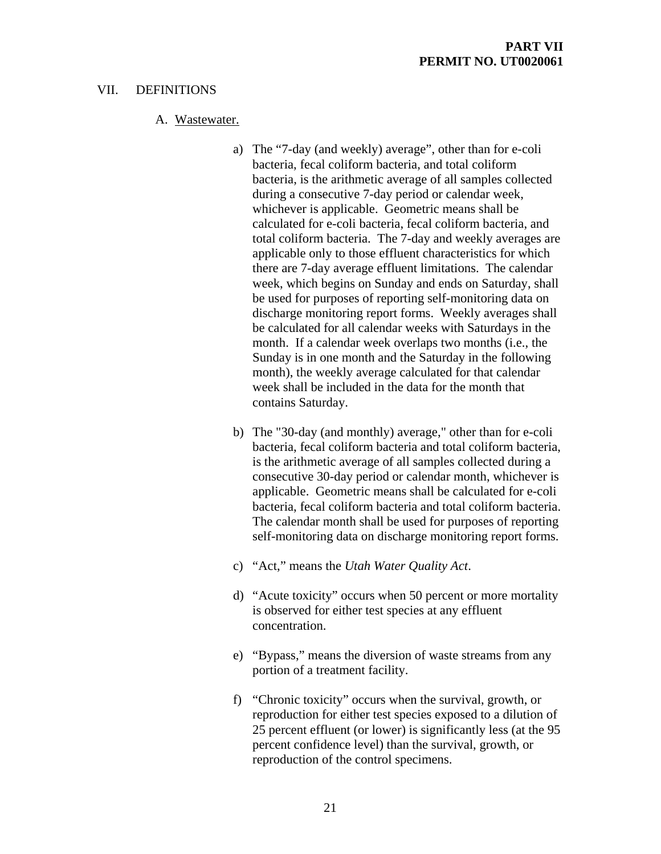# VII. DEFINITIONS

# A. Wastewater.

- a) The "7-day (and weekly) average", other than for e-coli bacteria, fecal coliform bacteria, and total coliform bacteria, is the arithmetic average of all samples collected during a consecutive 7-day period or calendar week, whichever is applicable. Geometric means shall be calculated for e-coli bacteria, fecal coliform bacteria, and total coliform bacteria. The 7-day and weekly averages are applicable only to those effluent characteristics for which there are 7-day average effluent limitations. The calendar week, which begins on Sunday and ends on Saturday, shall be used for purposes of reporting self-monitoring data on discharge monitoring report forms. Weekly averages shall be calculated for all calendar weeks with Saturdays in the month. If a calendar week overlaps two months (i.e., the Sunday is in one month and the Saturday in the following month), the weekly average calculated for that calendar week shall be included in the data for the month that contains Saturday.
- b) The "30-day (and monthly) average," other than for e-coli bacteria, fecal coliform bacteria and total coliform bacteria, is the arithmetic average of all samples collected during a consecutive 30-day period or calendar month, whichever is applicable. Geometric means shall be calculated for e-coli bacteria, fecal coliform bacteria and total coliform bacteria. The calendar month shall be used for purposes of reporting self-monitoring data on discharge monitoring report forms.
- c) "Act," means the *Utah Water Quality Act*.
- d) "Acute toxicity" occurs when 50 percent or more mortality is observed for either test species at any effluent concentration.
- e) "Bypass," means the diversion of waste streams from any portion of a treatment facility.
- f) "Chronic toxicity" occurs when the survival, growth, or reproduction for either test species exposed to a dilution of 25 percent effluent (or lower) is significantly less (at the 95 percent confidence level) than the survival, growth, or reproduction of the control specimens.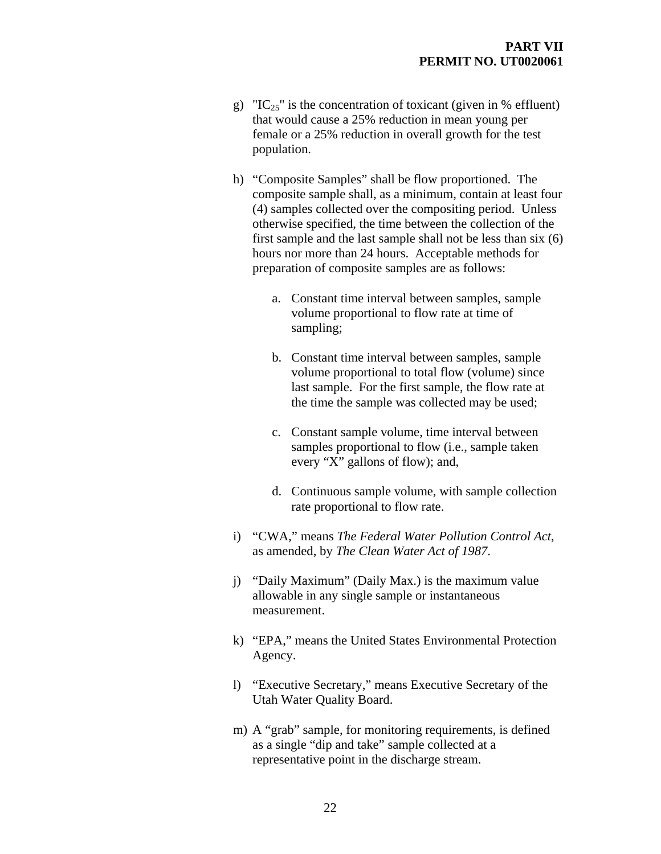- g) "IC<sub>25</sub>" is the concentration of toxicant (given in % effluent) that would cause a 25% reduction in mean young per female or a 25% reduction in overall growth for the test population.
- h) "Composite Samples" shall be flow proportioned. The composite sample shall, as a minimum, contain at least four (4) samples collected over the compositing period. Unless otherwise specified, the time between the collection of the first sample and the last sample shall not be less than six (6) hours nor more than 24 hours. Acceptable methods for preparation of composite samples are as follows:
	- a. Constant time interval between samples, sample volume proportional to flow rate at time of sampling;
	- b. Constant time interval between samples, sample volume proportional to total flow (volume) since last sample. For the first sample, the flow rate at the time the sample was collected may be used;
	- c. Constant sample volume, time interval between samples proportional to flow (i.e., sample taken every "X" gallons of flow); and,
	- d. Continuous sample volume, with sample collection rate proportional to flow rate.
- i) "CWA," means *The Federal Water Pollution Control Act*, as amended, by *The Clean Water Act of 1987*.
- j) "Daily Maximum" (Daily Max.) is the maximum value allowable in any single sample or instantaneous measurement.
- k) "EPA," means the United States Environmental Protection Agency.
- l) "Executive Secretary," means Executive Secretary of the Utah Water Quality Board.
- m) A "grab" sample, for monitoring requirements, is defined as a single "dip and take" sample collected at a representative point in the discharge stream.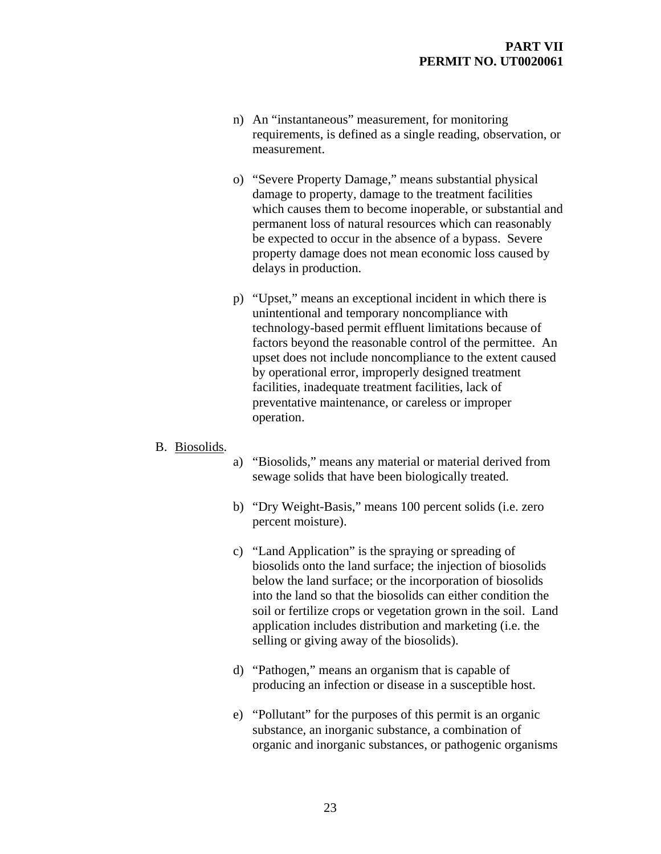- n) An "instantaneous" measurement, for monitoring requirements, is defined as a single reading, observation, or measurement.
- o) "Severe Property Damage," means substantial physical damage to property, damage to the treatment facilities which causes them to become inoperable, or substantial and permanent loss of natural resources which can reasonably be expected to occur in the absence of a bypass. Severe property damage does not mean economic loss caused by delays in production.
- p) "Upset," means an exceptional incident in which there is unintentional and temporary noncompliance with technology-based permit effluent limitations because of factors beyond the reasonable control of the permittee. An upset does not include noncompliance to the extent caused by operational error, improperly designed treatment facilities, inadequate treatment facilities, lack of preventative maintenance, or careless or improper operation.

#### B. Biosolids.

- a) "Biosolids," means any material or material derived from sewage solids that have been biologically treated.
- b) "Dry Weight-Basis," means 100 percent solids (i.e. zero percent moisture).
- c) "Land Application" is the spraying or spreading of biosolids onto the land surface; the injection of biosolids below the land surface; or the incorporation of biosolids into the land so that the biosolids can either condition the soil or fertilize crops or vegetation grown in the soil. Land application includes distribution and marketing (i.e. the selling or giving away of the biosolids).
- d) "Pathogen," means an organism that is capable of producing an infection or disease in a susceptible host.
- e) "Pollutant" for the purposes of this permit is an organic substance, an inorganic substance, a combination of organic and inorganic substances, or pathogenic organisms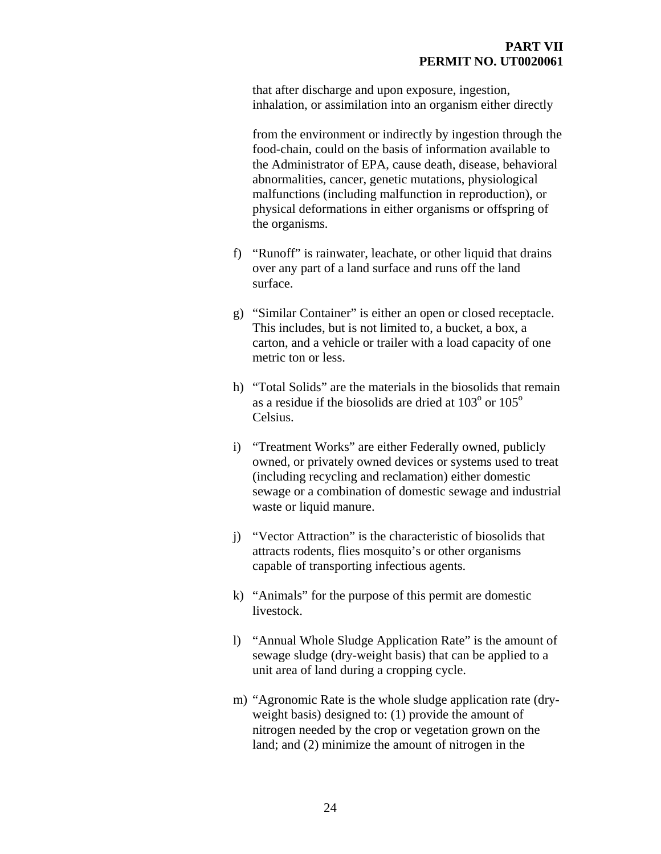that after discharge and upon exposure, ingestion, inhalation, or assimilation into an organism either directly

from the environment or indirectly by ingestion through the food-chain, could on the basis of information available to the Administrator of EPA, cause death, disease, behavioral abnormalities, cancer, genetic mutations, physiological malfunctions (including malfunction in reproduction), or physical deformations in either organisms or offspring of the organisms.

- f) "Runoff" is rainwater, leachate, or other liquid that drains over any part of a land surface and runs off the land surface.
- g) "Similar Container" is either an open or closed receptacle. This includes, but is not limited to, a bucket, a box, a carton, and a vehicle or trailer with a load capacity of one metric ton or less.
- h) "Total Solids" are the materials in the biosolids that remain as a residue if the biosolids are dried at  $103^{\circ}$  or  $105^{\circ}$ Celsius.
- i) "Treatment Works" are either Federally owned, publicly owned, or privately owned devices or systems used to treat (including recycling and reclamation) either domestic sewage or a combination of domestic sewage and industrial waste or liquid manure.
- j) "Vector Attraction" is the characteristic of biosolids that attracts rodents, flies mosquito's or other organisms capable of transporting infectious agents.
- k) "Animals" for the purpose of this permit are domestic livestock.
- l) "Annual Whole Sludge Application Rate" is the amount of sewage sludge (dry-weight basis) that can be applied to a unit area of land during a cropping cycle.
- m) "Agronomic Rate is the whole sludge application rate (dryweight basis) designed to: (1) provide the amount of nitrogen needed by the crop or vegetation grown on the land; and (2) minimize the amount of nitrogen in the